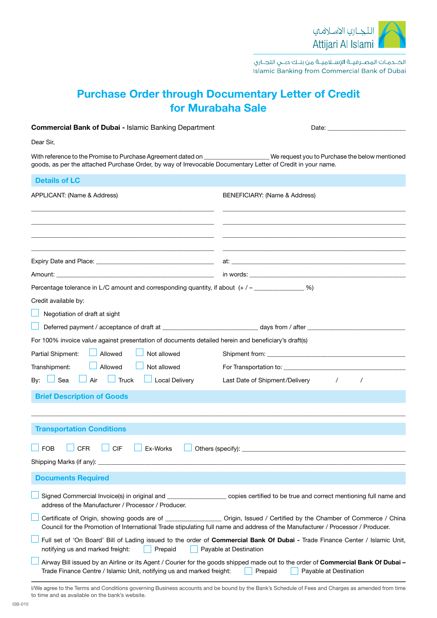

الخــدمـات المصــرفيــة الإســلاميــة من بنــك دبــي التجــاري Islamic Banking from Commercial Bank of Dubai

## Purchase Order through Documentary Letter of Credit for Murabaha Sale

| <b>Commercial Bank of Dubai - Islamic Banking Department</b>                                                                                                                                                                                    |                                                                                                                                                                        |  |  |
|-------------------------------------------------------------------------------------------------------------------------------------------------------------------------------------------------------------------------------------------------|------------------------------------------------------------------------------------------------------------------------------------------------------------------------|--|--|
| Dear Sir,                                                                                                                                                                                                                                       |                                                                                                                                                                        |  |  |
| With reference to the Promise to Purchase Agreement dated on _____________________We request you to Purchase the below mentioned<br>goods, as per the attached Purchase Order, by way of Irrevocable Documentary Letter of Credit in your name. |                                                                                                                                                                        |  |  |
| <b>Details of LC</b>                                                                                                                                                                                                                            |                                                                                                                                                                        |  |  |
| APPLICANT: (Name & Address)                                                                                                                                                                                                                     | BENEFICIARY: (Name & Address)                                                                                                                                          |  |  |
|                                                                                                                                                                                                                                                 | at: <u>the contract of the contract of the contract of the contract of the contract of the contract of</u>                                                             |  |  |
|                                                                                                                                                                                                                                                 |                                                                                                                                                                        |  |  |
| Percentage tolerance in L/C amount and corresponding quantity, if about $(+/-$<br>Credit available by:<br>Negotiation of draft at sight                                                                                                         |                                                                                                                                                                        |  |  |
|                                                                                                                                                                                                                                                 |                                                                                                                                                                        |  |  |
| For 100% invoice value against presentation of documents detailed herein and beneficiary's draft(s)                                                                                                                                             |                                                                                                                                                                        |  |  |
| Not allowed<br>Partial Shipment:<br>Allowed                                                                                                                                                                                                     |                                                                                                                                                                        |  |  |
| Not allowed<br>Transhipment:<br>Allowed                                                                                                                                                                                                         |                                                                                                                                                                        |  |  |
| Sea Lair<br>$\Box$ Truck $\Box$ Local Delivery<br>By: $\Box$                                                                                                                                                                                    | Last Date of Shipment/Delivery /                                                                                                                                       |  |  |
| <b>Brief Description of Goods</b>                                                                                                                                                                                                               |                                                                                                                                                                        |  |  |
| <b>Transportation Conditions</b><br><b>CFR</b><br><b>CIF</b><br><b>FOB</b><br>Ex-Works<br>Others (specify):                                                                                                                                     |                                                                                                                                                                        |  |  |
| <b>Documents Required</b>                                                                                                                                                                                                                       |                                                                                                                                                                        |  |  |
| address of the Manufacturer / Processor / Producer.                                                                                                                                                                                             | Signed Commercial Invoice(s) in original and ______________________ copies certified to be true and correct mentioning full name and                                   |  |  |
| Council for the Promotion of International Trade stipulating full name and address of the Manufacturer / Processor / Producer.                                                                                                                  | Certificate of Origin, showing goods are of __________________ Origin, Issued / Certified by the Chamber of Commerce / China                                           |  |  |
| Full set of 'On Board' Bill of Lading issued to the order of Commercial Bank Of Dubai - Trade Finance Center / Islamic Unit,<br>Payable at Destination<br>notifying us and marked freight:<br>Prepaid                                           |                                                                                                                                                                        |  |  |
| Trade Finance Centre / Islamic Unit, notifying us and marked freight:                                                                                                                                                                           | Airway Bill issued by an Airline or its Agent / Courier for the goods shipped made out to the order of Commercial Bank Of Dubai -<br>Prepaid<br>Payable at Destination |  |  |

I/We agree to the Terms and Conditions governing Business accounts and be bound by the Bank's Schedule of Fees and Charges as amended from time to time and as available on the bank's website.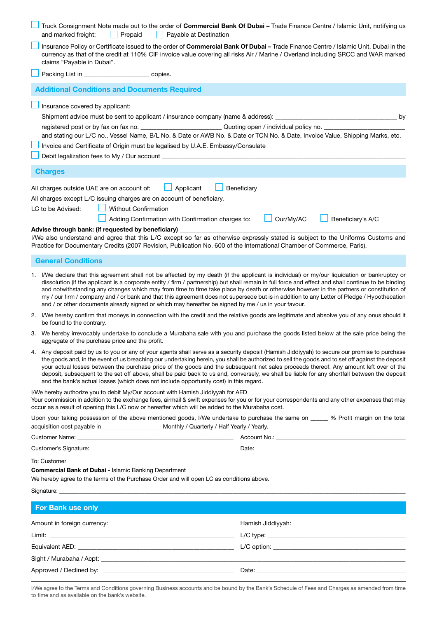|                                                                                                                                                                                                                                                                                                                                                                                                                                                                                                                                                                                                               | Truck Consignment Note made out to the order of Commercial Bank Of Dubai - Trade Finance Centre / Islamic Unit, notifying us<br>and marked freight:<br>Prepaid<br>Payable at Destination                                                                                                                                                                                                                                                                                                                                                                                                                                                                                                               |                                                                                                                                                                                                                                |  |  |
|---------------------------------------------------------------------------------------------------------------------------------------------------------------------------------------------------------------------------------------------------------------------------------------------------------------------------------------------------------------------------------------------------------------------------------------------------------------------------------------------------------------------------------------------------------------------------------------------------------------|--------------------------------------------------------------------------------------------------------------------------------------------------------------------------------------------------------------------------------------------------------------------------------------------------------------------------------------------------------------------------------------------------------------------------------------------------------------------------------------------------------------------------------------------------------------------------------------------------------------------------------------------------------------------------------------------------------|--------------------------------------------------------------------------------------------------------------------------------------------------------------------------------------------------------------------------------|--|--|
|                                                                                                                                                                                                                                                                                                                                                                                                                                                                                                                                                                                                               | Insurance Policy or Certificate issued to the order of Commercial Bank Of Dubai - Trade Finance Centre / Islamic Unit, Dubai in the<br>currency as that of the credit at 110% CIF invoice value covering all risks Air / Marine / Overland including SRCC and WAR marked<br>claims "Payable in Dubai".                                                                                                                                                                                                                                                                                                                                                                                                 |                                                                                                                                                                                                                                |  |  |
|                                                                                                                                                                                                                                                                                                                                                                                                                                                                                                                                                                                                               | Packing List in ________________________copies.                                                                                                                                                                                                                                                                                                                                                                                                                                                                                                                                                                                                                                                        |                                                                                                                                                                                                                                |  |  |
|                                                                                                                                                                                                                                                                                                                                                                                                                                                                                                                                                                                                               | <b>Additional Conditions and Documents Required</b>                                                                                                                                                                                                                                                                                                                                                                                                                                                                                                                                                                                                                                                    |                                                                                                                                                                                                                                |  |  |
|                                                                                                                                                                                                                                                                                                                                                                                                                                                                                                                                                                                                               | Insurance covered by applicant:<br>Shipment advice must be sent to applicant / insurance company (name & address): ______________________________<br>and stating our L/C no., Vessel Name, B/L No. & Date or AWB No. & Date or TCN No. & Date, Invoice Value, Shipping Marks, etc.<br>Invoice and Certificate of Origin must be legalised by U.A.E. Embassy/Consulate<br><b>Charges</b>                                                                                                                                                                                                                                                                                                                | by                                                                                                                                                                                                                             |  |  |
|                                                                                                                                                                                                                                                                                                                                                                                                                                                                                                                                                                                                               |                                                                                                                                                                                                                                                                                                                                                                                                                                                                                                                                                                                                                                                                                                        |                                                                                                                                                                                                                                |  |  |
| All charges outside UAE are on account of:<br>Applicant<br>Beneficiary<br>All charges except L/C issuing charges are on account of beneficiary.<br><b>Without Confirmation</b><br>LC to be Advised:<br>Our/My/AC<br>Adding Confirmation with Confirmation charges to:<br>Beneficiary's A/C<br>Advise through bank: (if requested by beneficiary)<br>I/We also understand and agree that this L/C except so far as otherwise expressly stated is subject to the Uniforms Customs and<br>Practice for Documentary Credits (2007 Revision, Publication No. 600 of the International Chamber of Commerce, Paris). |                                                                                                                                                                                                                                                                                                                                                                                                                                                                                                                                                                                                                                                                                                        |                                                                                                                                                                                                                                |  |  |
|                                                                                                                                                                                                                                                                                                                                                                                                                                                                                                                                                                                                               | <b>General Conditions</b>                                                                                                                                                                                                                                                                                                                                                                                                                                                                                                                                                                                                                                                                              |                                                                                                                                                                                                                                |  |  |
|                                                                                                                                                                                                                                                                                                                                                                                                                                                                                                                                                                                                               | 1. I/We declare that this agreement shall not be affected by my death (if the applicant is individual) or my/our liquidation or bankruptcy or<br>dissolution (if the applicant is a corporate entity / firm / partnership) but shall remain in full force and effect and shall continue to be binding<br>and notwithstanding any changes which may from time to time take place by death or otherwise however in the partners or constitution of<br>my / our firm / company and / or bank and that this agreement does not supersede but is in addition to any Letter of Pledge / Hypothecation<br>and / or other documents already signed or which may hereafter be signed by me / us in your favour. |                                                                                                                                                                                                                                |  |  |
|                                                                                                                                                                                                                                                                                                                                                                                                                                                                                                                                                                                                               | 2. I/We hereby confirm that moneys in connection with the credit and the relative goods are legitimate and absolve you of any onus should it<br>be found to the contrary.                                                                                                                                                                                                                                                                                                                                                                                                                                                                                                                              |                                                                                                                                                                                                                                |  |  |
|                                                                                                                                                                                                                                                                                                                                                                                                                                                                                                                                                                                                               | 3. We hereby irrevocably undertake to conclude a Murabaha sale with you and purchase the goods listed below at the sale price being the<br>aggregate of the purchase price and the profit.                                                                                                                                                                                                                                                                                                                                                                                                                                                                                                             |                                                                                                                                                                                                                                |  |  |
|                                                                                                                                                                                                                                                                                                                                                                                                                                                                                                                                                                                                               | 4. Any deposit paid by us to you or any of your agents shall serve as a security deposit (Hamish Jiddiyyah) to secure our promise to purchase<br>the goods and, in the event of us breaching our undertaking herein, you shall be authorized to sell the goods and to set off against the deposit<br>your actual losses between the purchase price of the goods and the subsequent net sales proceeds thereof. Any amount left over of the<br>deposit, subsequent to the set off above, shall be paid back to us and, conversely, we shall be liable for any shortfall between the deposit<br>and the bank's actual losses (which does not include opportunity cost) in this regard.                   |                                                                                                                                                                                                                                |  |  |
|                                                                                                                                                                                                                                                                                                                                                                                                                                                                                                                                                                                                               | I/We hereby authorize you to debit My/Our account with Hamish Jiddiyyah for AED<br>Your commission in addition to the exchange fees, airmail & swift expenses for you or for your correspondents and any other expenses that may<br>occur as a result of opening this L/C now or hereafter which will be added to the Murabaha cost.                                                                                                                                                                                                                                                                                                                                                                   |                                                                                                                                                                                                                                |  |  |
| Upon your taking possession of the above mentioned goods, I/We undertake to purchase the same on _____ % Profit margin on the total                                                                                                                                                                                                                                                                                                                                                                                                                                                                           |                                                                                                                                                                                                                                                                                                                                                                                                                                                                                                                                                                                                                                                                                                        |                                                                                                                                                                                                                                |  |  |
|                                                                                                                                                                                                                                                                                                                                                                                                                                                                                                                                                                                                               |                                                                                                                                                                                                                                                                                                                                                                                                                                                                                                                                                                                                                                                                                                        |                                                                                                                                                                                                                                |  |  |
|                                                                                                                                                                                                                                                                                                                                                                                                                                                                                                                                                                                                               | Customer's Signature: <u>Contract Communications Contract Communications</u> Date: Contract Communications Contract Communications Contract Communications Communications Communications Communications Communications Communicatio                                                                                                                                                                                                                                                                                                                                                                                                                                                                    |                                                                                                                                                                                                                                |  |  |
|                                                                                                                                                                                                                                                                                                                                                                                                                                                                                                                                                                                                               | To: Customer<br><b>Commercial Bank of Dubai - Islamic Banking Department</b><br>We hereby agree to the terms of the Purchase Order and will open LC as conditions above.                                                                                                                                                                                                                                                                                                                                                                                                                                                                                                                               |                                                                                                                                                                                                                                |  |  |
|                                                                                                                                                                                                                                                                                                                                                                                                                                                                                                                                                                                                               |                                                                                                                                                                                                                                                                                                                                                                                                                                                                                                                                                                                                                                                                                                        |                                                                                                                                                                                                                                |  |  |
|                                                                                                                                                                                                                                                                                                                                                                                                                                                                                                                                                                                                               | <b>For Bank use only</b>                                                                                                                                                                                                                                                                                                                                                                                                                                                                                                                                                                                                                                                                               |                                                                                                                                                                                                                                |  |  |
|                                                                                                                                                                                                                                                                                                                                                                                                                                                                                                                                                                                                               |                                                                                                                                                                                                                                                                                                                                                                                                                                                                                                                                                                                                                                                                                                        |                                                                                                                                                                                                                                |  |  |
|                                                                                                                                                                                                                                                                                                                                                                                                                                                                                                                                                                                                               |                                                                                                                                                                                                                                                                                                                                                                                                                                                                                                                                                                                                                                                                                                        |                                                                                                                                                                                                                                |  |  |
|                                                                                                                                                                                                                                                                                                                                                                                                                                                                                                                                                                                                               | Equivalent AED: New York Contract and Contract Contract of the Contract of Contract Contract Contract Contract Contract Contract Contract Contract Contract Contract Contract Contract Contract Contract Contract Contract Con                                                                                                                                                                                                                                                                                                                                                                                                                                                                         |                                                                                                                                                                                                                                |  |  |
|                                                                                                                                                                                                                                                                                                                                                                                                                                                                                                                                                                                                               |                                                                                                                                                                                                                                                                                                                                                                                                                                                                                                                                                                                                                                                                                                        |                                                                                                                                                                                                                                |  |  |
|                                                                                                                                                                                                                                                                                                                                                                                                                                                                                                                                                                                                               |                                                                                                                                                                                                                                                                                                                                                                                                                                                                                                                                                                                                                                                                                                        | Date: the contract of the contract of the contract of the contract of the contract of the contract of the contract of the contract of the contract of the contract of the contract of the contract of the contract of the cont |  |  |

I/We agree to the Terms and Conditions governing Business accounts and be bound by the Bank's Schedule of Fees and Charges as amended from time to time and as available on the bank's website.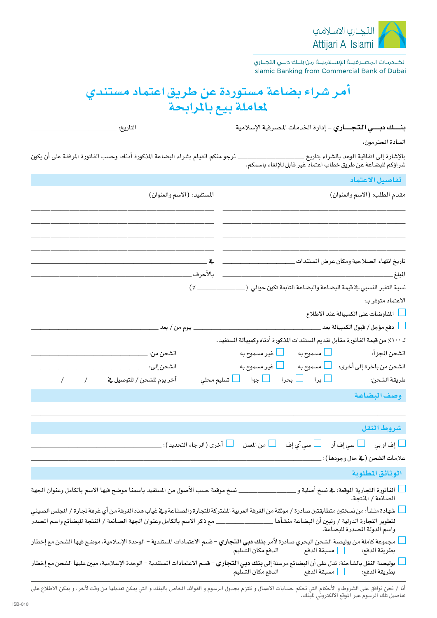

الخــدمـات المصــرفيــة الإســلاميــة من بنــك دبــي التجــاري Islamic Banking from Commercial Bank of Dubai

## أمر شراء بضاعة مستوردة عن طريق اعتماد مستندي لمعاملة بيع بالمرابحة

|                                                                                                                                                     | بنسك دبسي التجساري - إدارة الخدمات المصرفية الإسلامية                                                                           |
|-----------------------------------------------------------------------------------------------------------------------------------------------------|---------------------------------------------------------------------------------------------------------------------------------|
|                                                                                                                                                     | السادة المحترمون،                                                                                                               |
| نرجو منكم القيام بشراء البضاعة المذكورة أدناه، وحسب الفاتورة المرفقة على أن يكون                                                                    | بالإشارة إلى اتفاقية الوعد بالشراء بتاريخ ______________________<br>شراؤكم للبضاعة عن طريق خطاب اعتماد غير قابل للإلغاء باسمكم. |
|                                                                                                                                                     | تفاصيل الاعتماد                                                                                                                 |
| المستفيد: (الاسم والعنوان)                                                                                                                          | مقدم الطلب: (الاسم والعنوان)                                                                                                    |
|                                                                                                                                                     |                                                                                                                                 |
|                                                                                                                                                     |                                                                                                                                 |
|                                                                                                                                                     | نسبة التغير النسبي في فيمة البضاعة والبضاعة التابعة تكون حوالي  (___________________________________                            |
|                                                                                                                                                     | الاعتماد متوفر بـ:                                                                                                              |
|                                                                                                                                                     | المفاوضات على الكمبيالة عند الاطلاع                                                                                             |
|                                                                                                                                                     |                                                                                                                                 |
|                                                                                                                                                     | لـ ١٠٠٪ من قيمة الفاتورة مقابل تقديم المستندات المذكورة أدناه وكمبيالة المستفيد.                                                |
|                                                                                                                                                     |                                                                                                                                 |
|                                                                                                                                                     |                                                                                                                                 |
|                                                                                                                                                     |                                                                                                                                 |
|                                                                                                                                                     | وصف البضاعة                                                                                                                     |
|                                                                                                                                                     |                                                                                                                                 |
|                                                                                                                                                     | شروط النقل                                                                                                                      |
| _ أخرى (الرجاء التحديد): ___                                                                                                                        | ياف او بي مسلم $\Box$ سي إف آر مسلم آي إف مسلم المعمل $\Box$ من المعمل $\Box$                                                   |
|                                                                                                                                                     | علامات الشحن (ڤي حال وجودها): _                                                                                                 |
|                                                                                                                                                     | الوثائق المطلوبة                                                                                                                |
| نسخ موقعة حسب الأصول من المستفيد باسمنا موضح فيها الاسم بالكامل وعنوان الجهة                                                                        | الفاتورة التجارية الموقعة: في نسخ أصلية و ِ<br>الصانعة / المنتجة.                                                               |
| شهادة منشأ: من نسختين متطابقتين صادرة / موثقة من الغرفة العربية الشتركة للتجارة والصناعة وفج غياب هذه الغرفة من أى غرفة تجارة / الجلس الصينى        |                                                                                                                                 |
|                                                                                                                                                     | لتطوير التجارة الدولية / وتبين أن البضاعة منشأها _<br>واسم الدولة المصدرة للبضاعة.                                              |
| مجموعة كاملة من بوليصة الشحن البحري صادرة لأمر <b>بنك دبي التجاري</b> – قسم الاعتمادات المستندية – الوحدة الإسلامية، موضح فيها الشحن مع إخطار       |                                                                                                                                 |
| بوليصة النقل بالشاحنة: تدل على أن البضائع مرسلة إلى <b>بنك دبي التجاري</b> – قسم الاعتمادات المستندية – الوحدة الإسلامية، مبين عليها الشحن مع إخطار |                                                                                                                                 |

أنا / نحن نوافق على الشروط و الأحكام التي تحكم حسابات الاعمال و نلتزم بجدول الرسوم و الفوائد الخاص بالبنك و التي يمكن تعديلها من وقت لآخر، و يمكن الاطلاع على تفاصيل تلك الرسوم عبر الموقع الالكتروني للبِّنك.